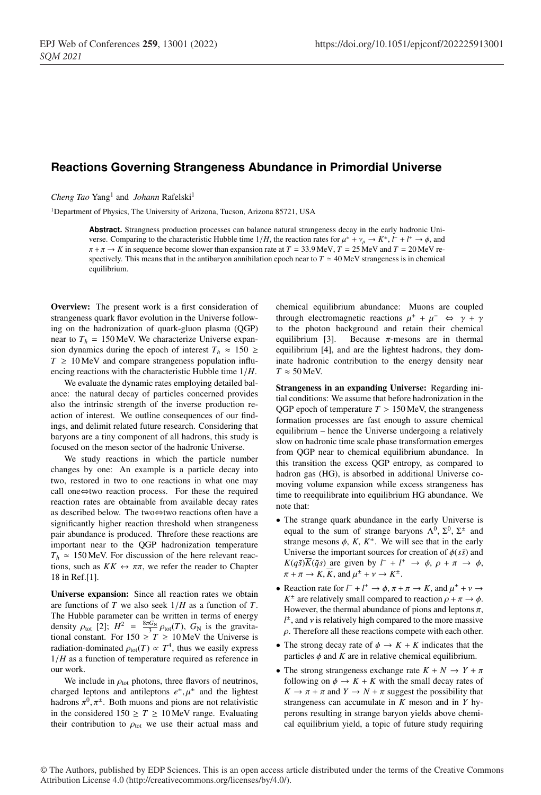## **Reactions Governing Strangeness Abundance in Primordial Universe**

*Cheng Tao* Yang<sup>1</sup> and *Johann* Rafelski<sup>1</sup>

<sup>1</sup>Department of Physics, The University of Arizona, Tucson, Arizona 85721, USA

**Abstract.** Strangness production processes can balance natural strangeness decay in the early hadronic Universe. Comparing to the characteristic Hubble time  $1/H$ , the reaction rates for  $\mu^{\pm} + \nu_{\mu} \to K^{\pm}$ ,  $l^+ + l^+ \to \phi$ , and  $\pi + \pi \rightarrow K$  in sequence become slower than expansion rate at  $T = 33.9$  MeV,  $T = 25$  MeV and  $T = 20$  MeV respectively. This means that in the antibaryon annihilation epoch near to  $T \approx 40 \text{ MeV}$  strangeness is in chemical equilibrium.

Overview: The present work is a first consideration of strangeness quark flavor evolution in the Universe following on the hadronization of quark-gluon plasma (QGP) near to  $T<sub>h</sub> = 150$  MeV. We characterize Universe expansion dynamics during the epoch of interest  $T_h \approx 150 \geq$  $T \geq 10$  MeV and compare strangeness population influencing reactions with the characteristic Hubble time 1/*H*.

We evaluate the dynamic rates employing detailed balance: the natural decay of particles concerned provides also the intrinsic strength of the inverse production reaction of interest. We outline consequences of our findings, and delimit related future research. Considering that baryons are a tiny component of all hadrons, this study is focused on the meson sector of the hadronic Universe.

We study reactions in which the particle number changes by one: An example is a particle decay into two, restored in two to one reactions in what one may call one⇔two reaction process. For these the required reaction rates are obtainable from available decay rates as described below. The two⇔two reactions often have a significantly higher reaction threshold when strangeness pair abundance is produced. Threfore these reactions are important near to the QGP hadronization temperature  $T_h \approx 150$  MeV. For discussion of the here relevant reactions, such as  $KK \leftrightarrow \pi \pi$ , we refer the reader to Chapter 18 in Ref.[1].

Universe expansion: Since all reaction rates we obtain are functions of *T* we also seek 1/*H* as a function of *T*. The Hubble parameter can be written in terms of energy density  $\rho_{\text{tot}}$  [2];  $H^2 = \frac{8\pi G_N}{3} \rho_{\text{tot}}(T)$ ,  $G_N$  is the gravitational constant. For  $150 \ge T \ge 10$  MeV the Universe is radiation-dominated  $\rho_{\text{tot}}(T) \propto T^4$ , thus we easily express 1/*H* as a function of temperature required as reference in our work.

We include in  $\rho_{\text{tot}}$  photons, three flavors of neutrinos, charged leptons and antileptons  $e^{\pm}, \mu^{\pm}$  and the lightest hadrons  $\pi^0$ ,  $\pi^{\pm}$ . Both muons and pions are not relativistic in the considered  $150 \ge T \ge 10$  MeV range. Evaluating their contribution to  $\rho_{\text{tot}}$  we use their actual mass and chemical equilibrium abundance: Muons are coupled through electromagnetic reactions  $\mu^+ + \mu^- \Leftrightarrow \gamma + \gamma$ to the photon background and retain their chemical equilibrium [3]. Because  $\pi$ -mesons are in thermal equilibrium [4], and are the lightest hadrons, they dominate hadronic contribution to the energy density near  $T \approx 50$  MeV.

Strangeness in an expanding Universe: Regarding initial conditions: We assume that before hadronization in the QGP epoch of temperature  $T > 150$  MeV, the strangeness formation processes are fast enough to assure chemical equilibrium – hence the Universe undergoing a relatively slow on hadronic time scale phase transformation emerges from QGP near to chemical equilibrium abundance. In this transition the excess QGP entropy, as compared to hadron gas (HG), is absorbed in additional Universe comoving volume expansion while excess strangeness has time to reequilibrate into equilibrium HG abundance. We note that:

- The strange quark abundance in the early Universe is equal to the sum of strange baryons  $\Lambda^0$ ,  $\Sigma^0$ ,  $\Sigma^{\pm}$  and strange mesons  $\phi$ , *K*,  $K^{\pm}$ . We will see that in the early Universe the important sources for creation of  $\phi(s\bar{s})$  and  $K(q\bar{s})\overline{K}(\bar{q}s)$  are given by  $l^- + l^+ \rightarrow \phi$ ,  $\rho + \pi \rightarrow \phi$ ,  $\pi + \pi \rightarrow K$ , *K*, and  $\mu^{\pm} + \nu \rightarrow K^{\pm}$ .
- Reaction rate for  $l^- + l^+ \to \phi$ ,  $\pi + \pi \to K$ , and  $\mu^{\pm} + \nu \to$  $K^{\pm}$  are relatively small compared to reaction  $\rho + \pi \rightarrow \phi$ . However, the thermal abundance of pions and leptons  $\pi$ ,  $l^{\pm}$ , and v is relatively high compared to the more massive  $\rho$ . Therefore all these reactions compete with each other.
- The strong decay rate of  $\phi \rightarrow K + K$  indicates that the particles  $\phi$  and  $K$  are in relative chemical equilibrium.
- The strong strangeness exchange rate  $K + N \rightarrow Y + \pi$ following on  $\phi \to K + K$  with the small decay rates of  $K \to \pi + \pi$  and  $Y \to N + \pi$  suggest the possibility that strangeness can accumulate in *K* meson and in *Y* hyperons resulting in strange baryon yields above chemical equilibrium yield, a topic of future study requiring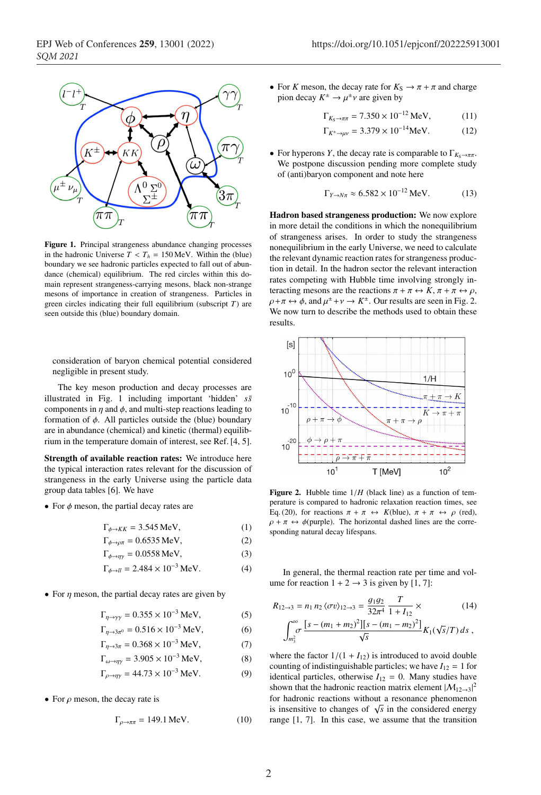

Figure 1. Principal strangeness abundance changing processes in the hadronic Universe  $T < T_h = 150$  MeV. Within the (blue) boundary we see hadronic particles expected to fall out of abundance (chemical) equilibrium. The red circles within this domain represent strangeness-carrying mesons, black non-strange mesons of importance in creation of strangeness. Particles in green circles indicating their full equilibrium (subscript *T*) are seen outside this (blue) boundary domain.

consideration of baryon chemical potential considered negligible in present study.

The key meson production and decay processes are illustrated in Fig. 1 including important 'hidden' *ss*¯ components in  $\eta$  and  $\phi$ , and multi-step reactions leading to formation of  $\phi$ . All particles outside the (blue) boundary are in abundance (chemical) and kinetic (thermal) equilibrium in the temperature domain of interest, see Ref. [4, 5].

Strength of available reaction rates: We introduce here the typical interaction rates relevant for the discussion of strangeness in the early Universe using the particle data group data tables [6]. We have

• For  $\phi$  meson, the partial decay rates are

$$
\Gamma_{\phi \to KK} = 3.545 \,\text{MeV},\tag{1}
$$

- $\Gamma_{\phi \to \rho \pi} = 0.6535 \text{ MeV},$ (2)
- $\Gamma_{\phi \to \eta \gamma} = 0.0558 \text{ MeV},$  (3)
- $\Gamma_{\phi \to ll} = 2.484 \times 10^{-3} \text{ MeV}.$  (4)
- For  $\eta$  meson, the partial decay rates are given by
	- $\Gamma_{n\to\gamma\gamma} = 0.355 \times 10^{-3} \text{ MeV},$  (5)
	- $\Gamma_{n \to 3\pi^0} = 0.516 \times 10^{-3} \text{ MeV},$  (6)

$$
\Gamma_{\eta \to 3\pi} = 0.368 \times 10^{-3} \text{ MeV},\tag{7}
$$

$$
\Gamma_{\omega \to \eta \gamma} = 3.905 \times 10^{-3} \,\text{MeV},\tag{8}
$$

$$
\Gamma_{\rho \to \eta \gamma} = 44.73 \times 10^{-3} \text{ MeV}.
$$
 (9)

• For  $\rho$  meson, the decay rate is

$$
\Gamma_{\rho \to \pi\pi} = 149.1 \,\text{MeV}.\tag{10}
$$

• For *K* meson, the decay rate for  $K_S \to \pi + \pi$  and charge pion decay  $K^{\pm} \rightarrow \mu^{\pm} \nu$  are given by

$$
\Gamma_{K_{\rm S} \to \pi\pi} = 7.350 \times 10^{-12} \,\text{MeV},\tag{11}
$$

$$
\Gamma_{K^{\pm} \to \mu\nu} = 3.379 \times 10^{-14} \text{MeV}.
$$
 (12)

• For hyperons *Y*, the decay rate is comparable to  $\Gamma_{K_S \to \pi \pi}$ . We postpone discussion pending more complete study of (anti)baryon component and note here

$$
\Gamma_{Y \to N\pi} \approx 6.582 \times 10^{-12} \,\text{MeV}.\tag{13}
$$

Hadron based strangeness production: We now explore in more detail the conditions in which the nonequilibrium of strangeness arises. In order to study the strangeness nonequilibrium in the early Universe, we need to calculate the relevant dynamic reaction rates for strangeness production in detail. In the hadron sector the relevant interaction rates competing with Hubble time involving strongly interacting mesons are the reactions  $\pi + \pi \leftrightarrow K$ ,  $\pi + \pi \leftrightarrow \rho$ ,  $\rho + \pi \leftrightarrow \phi$ , and  $\mu^{\pm} + \nu \rightarrow K^{\pm}$ . Our results are seen in Fig. 2. We now turn to describe the methods used to obtain these results.



**Figure 2.** Hubble time  $1/H$  (black line) as a function of temperature is compared to hadronic relaxation reaction times, see Eq. (20), for reactions  $\pi + \pi \leftrightarrow K(\text{blue})$ ,  $\pi + \pi \leftrightarrow \rho$  (red),  $\rho + \pi \leftrightarrow \phi$ (purple). The horizontal dashed lines are the corresponding natural decay lifespans.

In general, the thermal reaction rate per time and volume for reaction  $1 + 2 \rightarrow 3$  is given by [1, 7]:

$$
R_{12\to 3} = n_1 n_2 \langle \sigma v \rangle_{12\to 3} = \frac{g_1 g_2}{32\pi^4} \frac{T}{1 + I_{12}} \times
$$
 (14)  

$$
\int_{m_3^2}^{\infty} \frac{[s - (m_1 + m_2)^2][s - (m_1 - m_2)^2]}{\sqrt{s}} K_1(\sqrt{s}/T) ds,
$$

where the factor  $1/(1 + I_{12})$  is introduced to avoid double counting of indistinguishable particles; we have  $I_{12} = 1$  for identical particles, otherwise  $I_{12} = 0$ . Many studies have shown that the hadronic reaction matrix element  $|M_{12\rightarrow3}|^2$ for hadronic reactions without a resonance phenomenon is insensitive to changes of  $\sqrt{s}$  in the considered energy range [1, 7]. In this case, we assume that the transition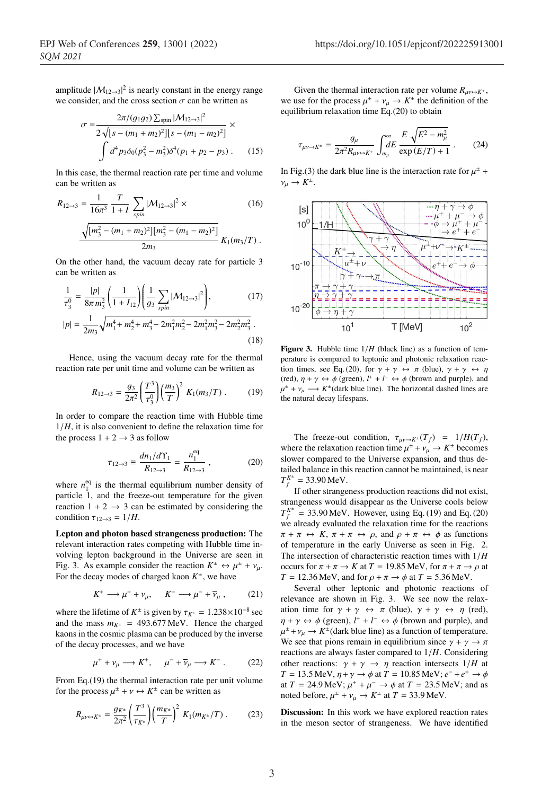amplitude  $|M_{12\rightarrow3}|^2$  is nearly constant in the energy range we consider, and the cross section  $\sigma$  can be written as

$$
\sigma = \frac{2\pi/(g_1 g_2) \sum_{\text{spin}} |\mathcal{M}_{12\to 3}|^2}{2\sqrt{[s - (m_1 + m_2)^2][s - (m_1 - m_2)^2]}} \times \int d^4 p_3 \delta_0 (p_3^2 - m_3^2) \delta^4(p_1 + p_2 - p_3) \,. \tag{15}
$$

In this case, the thermal reaction rate per time and volume can be written as

$$
R_{12\to 3} = \frac{1}{16\pi^3} \frac{T}{1+I} \sum_{spin} |\mathcal{M}_{12\to 3}|^2 \times
$$
 (16)  

$$
\frac{\sqrt{[m_3^2 - (m_1 + m_2)^2][m_3^2 - (m_1 - m_2)^2]}}{2m_3} K_1(m_3/T).
$$

On the other hand, the vacuum decay rate for particle 3 can be written as

$$
\frac{1}{\tau_3^0} = \frac{|p|}{8\pi m_3^2} \left( \frac{1}{1 + I_{12}} \right) \left( \frac{1}{g_3} \sum_{spin} |\mathcal{M}_{12 \to 3}|^2 \right),\tag{17}
$$

$$
|p| = \frac{1}{2m_3} \sqrt{m_1^4 + m_2^4 + m_3^4 - 2m_1^2 m_2^2 - 2m_1^2 m_3^2 - 2m_2^2 m_3^2} \,. \tag{18}
$$

Hence, using the vacuum decay rate for the thermal reaction rate per unit time and volume can be written as

$$
R_{12\to 3} = \frac{g_3}{2\pi^2} \left(\frac{T^3}{\tau_3^0}\right) \left(\frac{m_3}{T}\right)^2 K_1(m_3/T) \,. \tag{19}
$$

In order to compare the reaction time with Hubble time 1/*H*, it is also convenient to define the relaxation time for the process  $1 + 2 \rightarrow 3$  as follow

$$
\tau_{12 \to 3} \equiv \frac{dn_1/d\Upsilon_1}{R_{12 \to 3}} = \frac{n_1^{\text{eq}}}{R_{12 \to 3}} \,, \tag{20}
$$

where  $n_1^{eq}$  is the thermal equilibrium number density of particle 1, and the freeze-out temperature for the given reaction  $1 + 2 \rightarrow 3$  can be estimated by considering the condition  $\tau_{12\rightarrow 3} = 1/H$ .

Lepton and photon based strangeness production: The relevant interaction rates competing with Hubble time involving lepton background in the Universe are seen in Fig. 3. As example consider the reaction  $K^{\pm} \leftrightarrow \mu^{\pm} + \nu_{\mu}$ . For the decay modes of charged kaon  $K^{\pm}$ , we have

$$
K^+ \longrightarrow \mu^+ + \nu_\mu, \qquad K^- \longrightarrow \mu^- + \overline{\nu}_\mu \;, \tag{21}
$$

where the lifetime of  $K^{\pm}$  is given by  $\tau_{K^{\pm}} = 1.238 \times 10^{-8}$  sec and the mass  $m_{K^{\pm}} = 493.677 \text{ MeV}$ . Hence the charged kaons in the cosmic plasma can be produced by the inverse of the decay processes, and we have

$$
\mu^+ + \nu_\mu \longrightarrow K^+, \quad \mu^- + \overline{\nu}_\mu \longrightarrow K^- \,. \tag{22}
$$

From Eq.(19) the thermal interaction rate per unit volume for the process  $\mu^{\pm} + \nu \leftrightarrow K^{\pm}$  can be written as

$$
R_{\mu\nu \leftrightarrow K^{\pm}} = \frac{g_{K^{\pm}}}{2\pi^2} \left(\frac{T^3}{\tau_{K^{\pm}}}\right) \left(\frac{m_{K^{\pm}}}{T}\right)^2 K_1(m_{K^{\pm}}/T) \ . \tag{23}
$$

Given the thermal interaction rate per volume  $R_{\mu\nu \leftrightarrow K^{\pm}}$ , we use for the process  $\mu^{\pm} + \nu_{\mu} \rightarrow K^{\pm}$  the definition of the equilibrium relaxation time Eq.(20) to obtain

$$
\tau_{\mu\nu \to K^{\pm}} = \frac{g_{\mu}}{2\pi^2 R_{\mu\nu \leftrightarrow K^{\pm}}}\int_{m_{\mu}}^{\infty} \frac{E \sqrt{E^2 - m_{\mu}^2}}{\exp\left(E/T\right) + 1} \ . \tag{24}
$$

In Fig.(3) the dark blue line is the interaction rate for  $\mu^{\pm}$  +  $v_{\mu} \rightarrow K^{\pm}$ .



Figure 3. Hubble time  $1/H$  (black line) as a function of temperature is compared to leptonic and photonic relaxation reaction times, see Eq. (20), for  $\gamma + \gamma \leftrightarrow \pi$  (blue),  $\gamma + \gamma \leftrightarrow \eta$ (red),  $\eta + \gamma \leftrightarrow \phi$  (green),  $l^+ + l^- \leftrightarrow \phi$  (brown and purple), and  $\mu^{\pm} + \nu_{\mu} \longrightarrow K^{\pm}$  (dark blue line). The horizontal dashed lines are the natural decay lifespans.

The freeze-out condition,  $\tau_{\mu\nu\to K^{\pm}}(T_f) = 1/H(T_f)$ , where the relaxation reaction time  $\mu^{\pm} + \nu_{\mu} \rightarrow K^{\pm}$  becomes slower compared to the Universe expansion, and thus detailed balance in this reaction cannot be maintained, is near  $T_f^{K^{\pm}} = 33.90 \text{ MeV}.$ 

If other strangeness production reactions did not exist, strangeness would disappear as the Universe cools below  $T_f^{K^{\pm}} = 33.90 \,\text{MeV}$ . However, using Eq. (19) and Eq. (20) we already evaluated the relaxation time for the reactions  $\pi + \pi \leftrightarrow K$ ,  $\pi + \pi \leftrightarrow \rho$ , and  $\rho + \pi \leftrightarrow \phi$  as functions of temperature in the early Universe as seen in Fig. 2. The intersection of characteristic reaction times with 1/*H* occurs for  $\pi + \pi \rightarrow K$  at  $T = 19.85$  MeV, for  $\pi + \pi \rightarrow \rho$  at  $T = 12.36$  MeV, and for  $\rho + \pi \rightarrow \phi$  at  $T = 5.36$  MeV.

Several other leptonic and photonic reactions of relevance are shown in Fig. 3. We see now the relaxation time for  $\gamma + \gamma \leftrightarrow \pi$  (blue),  $\gamma + \gamma \leftrightarrow \eta$  (red),  $\eta + \gamma \leftrightarrow \phi$  (green),  $l^+ + l^- \leftrightarrow \phi$  (brown and purple), and  $\mu^{\pm} + \nu_{\mu} \rightarrow K^{\pm}$  (dark blue line) as a function of temperature. We see that pions remain in equilibrium since  $\gamma + \gamma \rightarrow \pi$ reactions are always faster compared to 1/*H*. Considering other reactions:  $\gamma + \gamma \rightarrow \eta$  reaction intersects  $1/H$  at *T* = 13.5 MeV,  $\eta + \gamma \to \phi$  at *T* = 10.85 MeV;  $e^- + e^+ \to \phi$ at *T* = 24.9 MeV;  $\mu^+ + \mu^- \rightarrow \phi$  at *T* = 23.5 MeV; and as noted before,  $\mu^{\pm} + \nu_{\mu} \rightarrow K^{\pm}$  at  $T = 33.9$  MeV.

Discussion: In this work we have explored reaction rates in the meson sector of strangeness. We have identified